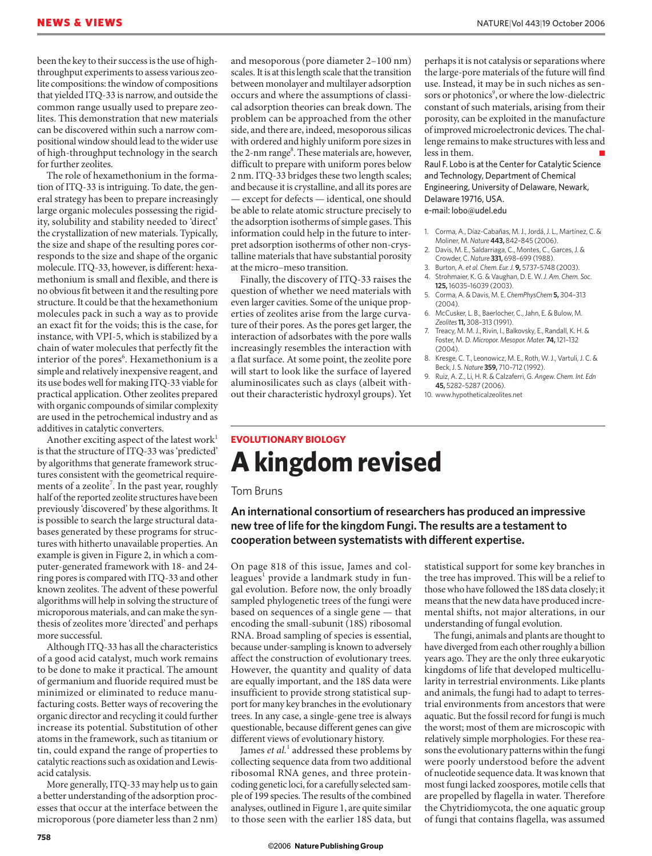been the key to their success is the use of highthroughput experiments to assess various zeolite compositions: the window of compositions that yielded ITQ-33 is narrow, and outside the common range usually used to prepare zeolites. This demonstration that new materials can be discovered within such a narrow compositional window should lead to the wider use of high-throughput technology in the search for further zeolites.

The role of hexamethonium in the formation of ITQ-33 is intriguing. To date, the general strategy has been to prepare increasingly large organic molecules possessing the rigidity, solubility and stability needed to 'direct' the crystallization of new materials. Typically, the size and shape of the resulting pores corresponds to the size and shape of the organic molecule. ITQ-33, however, is different: hexamethonium is small and flexible, and there is no obvious fit between it and the resulting pore structure. It could be that the hexamethonium molecules pack in such a way as to provide an exact fit for the voids; this is the case, for instance, with VPI-5, which is stabilized by a chain of water molecules that perfectly fit the interior of the pores<sup>6</sup>. Hexamethonium is a simple and relatively inexpensive reagent, and its use bodes well for making ITQ-33 viable for practical application. Other zeolites prepared with organic compounds of similar complexity are used in the petrochemical industry and as additives in catalytic converters.

Another exciting aspect of the latest work<sup>1</sup> is that the structure of ITQ-33 was 'predicted' by algorithms that generate framework structures consistent with the geometrical requirements of a zeolite<sup>7</sup>. In the past year, roughly half of the reported zeolite structures have been previously 'discovered' by these algorithms. It is possible to search the large structural databases generated by these programs for structures with hitherto unavailable properties. An example is given in Figure 2, in which a computer-generated framework with 18- and 24 ring pores is compared with ITQ-33 and other known zeolites. The advent of these powerful algorithms will help in solving the structure of microporous materials, and can make the synthesis of zeolites more 'directed' and perhaps more successful.

Although ITQ-33 has all the characteristics of a good acid catalyst, much work remains to be done to make it practical. The amount of germanium and fluoride required must be minimized or eliminated to reduce manufacturing costs. Better ways of recovering the organic director and recycling it could further increase its potential. Substitution of other atoms in the framework, such as titanium or tin, could expand the range of properties to catalytic reactions such as oxidation and Lewisacid catalysis.

More generally, ITQ-33 may help us to gain a better understanding of the adsorption processes that occur at the interface between the microporous (pore diameter less than 2 nm)

and mesoporous (pore diameter 2–100 nm) scales. It is at this length scale that the transition between monolayer and multilayer adsorption occurs and where the assumptions of classical adsorption theories can break down. The problem can be approached from the other side, and there are, indeed, mesoporous silicas with ordered and highly uniform pore sizes in the 2-nm range<sup>8</sup>. These materials are, however, difficult to prepare with uniform pores below 2 nm. ITQ-33 bridges these two length scales; and because it is crystalline, and all its pores are — except for defects — identical, one should be able to relate atomic structure precisely to the adsorption isotherms of simple gases. This information could help in the future to interpret adsorption isotherms of other non-crystalline materials that have substantial porosity at the micro–meso transition.

Finally, the discovery of ITQ-33 raises the question of whether we need materials with even larger cavities. Some of the unique properties of zeolites arise from the large curvature of their pores. As the pores get larger, the interaction of adsorbates with the pore walls increasingly resembles the interaction with a flat surface. At some point, the zeolite pore will start to look like the surface of layered aluminosilicates such as clays (albeit without their characteristic hydroxyl groups). Yet

perhaps it is not catalysis or separations where the large-pore materials of the future will find use. Instead, it may be in such niches as sensors or photonics<sup>9</sup>, or where the low-dielectric constant of such materials, arising from their porosity, can be exploited in the manufacture of improved microelectronic devices. The challenge remains to make structures with less and  $leq$  in them.

Raul F. Lobo is at the Center for Catalytic Science and Technology, Department of Chemical Engineering, University of Delaware, Newark, Delaware 19716, USA. e-mail: lobo@udel.edu

1. Corma, A., Díaz-Cabañas, M. J., Jordá, J. L., Martínez, C. & Moliner, M. *Nature* **443,** 842–845 (2006).

- 2. Davis, M. E., Saldarriaga, C., Montes, C., Garces, J. & Crowder, C. *Nature* **331,** 698–699 (1988).
- 3. Burton, A. *et al. Chem. Eur. J.* **9,** 5737–5748 (2003).
- 4. Strohmaier, K. G. & Vaughan, D. E. W. *J. Am. Chem. Soc*.
- **125,** 16035–16039 (2003).
- 5. Corma, A. & Davis, M. E. *ChemPhysChem* **5,** 304–313 (2004).
- 6. McCusker, L. B., Baerlocher, C., Jahn, E. & Bulow, M. *Zeolites***11,** 308–313 (1991).
- 7. Treacy, M. M. J., Rivin, I., Balkovsky, E., Randall, K. H. & Foster, M. D. *Micropor. Mesopor. Mater.* **74,** 121–132  $(2004)$
- 8. Kresge, C. T., Leonowicz, M. E., Roth, W. J., Vartuli, J. C. & Beck, J. S. *Nature* **359,** 710–712 (1992).
- 9. Ruiz, A. Z., Li, H. R. & Calzaferri, G. *Angew. Chem. Int. Edn* **45,** 5282–5287 (2006).
- 10. www.hypotheticalzeolites.net

## **EVOLUTIONARY BIOLOGY A kingdom revised**

#### Tom Bruns

### **An international consortium of researchers has produced an impressive new tree of life for the kingdom Fungi. The results are a testament to cooperation between systematists with different expertise.**

On page 818 of this issue, James and colleagues<sup>1</sup> provide a landmark study in fungal evolution. Before now, the only broadly sampled phylogenetic trees of the fungi were based on sequences of a single gene — that encoding the small-subunit (18S) ribosomal RNA. Broad sampling of species is essential, because under-sampling is known to adversely affect the construction of evolutionary trees. However, the quantity and quality of data are equally important, and the 18S data were insufficient to provide strong statistical support for many key branches in the evolutionary trees. In any case, a single-gene tree is always questionable, because different genes can give different views of evolutionary history.

James et al.<sup>1</sup> addressed these problems by collecting sequence data from two additional ribosomal RNA genes, and three proteincoding genetic loci, for a carefully selected sample of 199 species. The results of the combined analyses, outlined in Figure 1, are quite similar to those seen with the earlier 18S data, but

statistical support for some key branches in the tree has improved. This will be a relief to those who have followed the 18S data closely; it means that the new data have produced incremental shifts, not major alterations, in our understanding of fungal evolution.

The fungi, animals and plants are thought to have diverged from each other roughly a billion years ago. They are the only three eukaryotic kingdoms of life that developed multicellularity in terrestrial environments. Like plants and animals, the fungi had to adapt to terrestrial environments from ancestors that were aquatic. But the fossil record for fungi is much the worst; most of them are microscopic with relatively simple morphologies. For these reasons the evolutionary patterns within the fungi were poorly understood before the advent of nucleotide sequence data. It was known that most fungi lacked zoospores, motile cells that are propelled by flagella in water. Therefore the Chytridiomycota, the one aquatic group of fungi that contains flagella, was assumed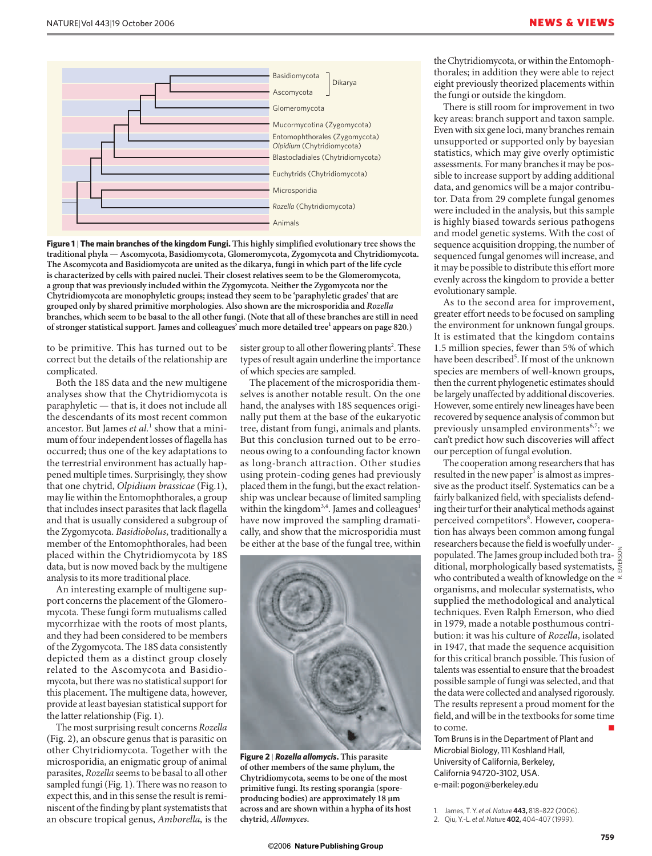

**Figure 1** | **The main branches of the kingdom Fungi. This highly simplified evolutionary tree shows the traditional phyla — Ascomycota, Basidiomycota, Glomeromycota, Zygomycota and Chytridiomycota. The Ascomycota and Basidiomycota are united as the dikarya, fungi in which part of the life cycle is characterized by cells with paired nuclei. Their closest relatives seem to be the Glomeromycota, a group that was previously included within the Zygomycota. Neither the Zygomycota nor the Chytridiomycota are monophyletic groups; instead they seem to be 'paraphyletic grades' that are grouped only by shared primitive morphologies. Also shown are the microsporidia and** *Rozella* **branches, which seem to be basal to the all other fungi. (Note that all of these branches are still in need**  of stronger statistical support. James and colleagues' much more detailed tree<sup>1</sup> appears on page 820.)

to be primitive. This has turned out to be correct but the details of the relationship are complicated.

Both the 18S data and the new multigene analyses show that the Chytridiomycota is paraphyletic — that is, it does not include all the descendants of its most recent common ancestor. But James *et al.*<sup>1</sup> show that a minimum of four independent losses of flagella has occurred; thus one of the key adaptations to the terrestrial environment has actually happened multiple times. Surprisingly, they show that one chytrid, *Olpidium brassicae* (Fig.1), may lie within the Entomophthorales, a group that includes insect parasites that lack flagella and that is usually considered a subgroup of the Zygomycota. *Basidiobolus*, traditionally a member of the Entomophthorales, had been placed within the Chytridiomycota by 18S data, but is now moved back by the multigene analysis to its more traditional place.

An interesting example of multigene support concerns the placement of the Glomeromycota. These fungi form mutualisms called mycorrhizae with the roots of most plants, and they had been considered to be members of the Zygomycota. The 18S data consistently depicted them as a distinct group closely related to the Ascomycota and Basidiomycota, but there was no statistical support for this placement*.* The multigene data, however, provide at least bayesian statistical support for the latter relationship (Fig. 1).

The most surprising result concerns *Rozella* (Fig. 2), an obscure genus that is parasitic on other Chytridiomycota. Together with the microsporidia, an enigmatic group of animal parasites, *Rozella* seems to be basal to all other sampled fungi (Fig. 1). There was no reason to expect this, and in this sense the result is reminiscent of the finding by plant systematists that an obscure tropical genus, *Amborella,* is the

sister group to all other flowering plants<sup>2</sup>. These types of result again underline the importance of which species are sampled.

The placement of the microsporidia themselves is another notable result. On the one hand, the analyses with 18S sequences originally put them at the base of the eukaryotic tree, distant from fungi, animals and plants. But this conclusion turned out to be erroneous owing to a confounding factor known as long-branch attraction. Other studies using protein-coding genes had previously placed them in the fungi, but the exact relationship was unclear because of limited sampling within the kingdom<sup>3,4</sup>. James and colleagues<sup>1</sup> have now improved the sampling dramatically, and show that the microsporidia must be either at the base of the fungal tree, within



**Figure 2** | *Rozella allomycis***. This parasite of other members of the same phylum, the Chytridiomycota, seems to be one of the most primitive fungi. Its resting sporangia (sporeproducing bodies) are approximately 18 µm across and are shown within a hypha of its host chytrid,** *Allomyces***.** 

the Chytridiomycota, or within the Entomophthorales; in addition they were able to reject eight previously theorized placements within the fungi or outside the kingdom.

There is still room for improvement in two key areas: branch support and taxon sample. Even with six gene loci, many branches remain unsupported or supported only by bayesian statistics, which may give overly optimistic assessments. For many branches it may be possible to increase support by adding additional data, and genomics will be a major contributor. Data from 29 complete fungal genomes were included in the analysis, but this sample is highly biased towards serious pathogens and model genetic systems. With the cost of sequence acquisition dropping, the number of sequenced fungal genomes will increase, and it may be possible to distribute this effort more evenly across the kingdom to provide a better evolutionary sample.

As to the second area for improvement, greater effort needs to be focused on sampling the environment for unknown fungal groups. It is estimated that the kingdom contains 1.5 million species, fewer than 5% of which have been described<sup>5</sup>. If most of the unknown species are members of well-known groups, then the current phylogenetic estimates should be largely unaffected by additional discoveries. However, some entirely new lineages have been recovered by sequence analysis of common but previously unsampled environments $6,7$ : we can't predict how such discoveries will affect our perception of fungal evolution.

The cooperation among researchers that has resulted in the new paper<sup>1</sup> is almost as impressive as the product itself. Systematics can be a fairly balkanized field, with specialists defending their turf or their analytical methods against perceived competitors<sup>8</sup>. However, cooperation has always been common among fungal researchers because the field is woefully underpopulated. The James group included both tra- $\frac{8}{9}$ ditional, morphologically based systematists, who contributed a wealth of knowledge on the  $\circ$ organisms, and molecular systematists, who supplied the methodological and analytical techniques. Even Ralph Emerson, who died in 1979, made a notable posthumous contribution: it was his culture of *Rozella*, isolated in 1947, that made the sequence acquisition for this critical branch possible. This fusion of talents was essential to ensure that the broadest possible sample of fungi was selected, and that the data were collected and analysed rigorously. The results represent a proud moment for the field, and will be in the textbooks for some time to come. R. EMERSON

Tom Bruns is in the Department of Plant and Microbial Biology, 111 Koshland Hall, University of California, Berkeley, California 94720-3102, USA. e-mail: pogon@berkeley.edu

1. James, T. Y. *et al. Nature* **443,** 818–822 (2006).

<sup>2.</sup> Qiu, Y.-L. *et al.Nature* **402,** 404–407 (1999).